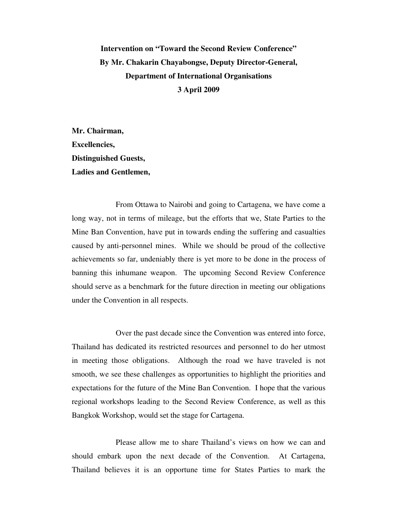## **Intervention on "Toward the Second Review Conference" By Mr. Chakarin Chayabongse, Deputy Director-General, Department of International Organisations 3 April 2009**

**Mr. Chairman, Excellencies, Distinguished Guests, Ladies and Gentlemen,** 

 From Ottawa to Nairobi and going to Cartagena, we have come a long way, not in terms of mileage, but the efforts that we, State Parties to the Mine Ban Convention, have put in towards ending the suffering and casualties caused by anti-personnel mines. While we should be proud of the collective achievements so far, undeniably there is yet more to be done in the process of banning this inhumane weapon. The upcoming Second Review Conference should serve as a benchmark for the future direction in meeting our obligations under the Convention in all respects.

 Over the past decade since the Convention was entered into force, Thailand has dedicated its restricted resources and personnel to do her utmost in meeting those obligations. Although the road we have traveled is not smooth, we see these challenges as opportunities to highlight the priorities and expectations for the future of the Mine Ban Convention. I hope that the various regional workshops leading to the Second Review Conference, as well as this Bangkok Workshop, would set the stage for Cartagena.

 Please allow me to share Thailand's views on how we can and should embark upon the next decade of the Convention. At Cartagena, Thailand believes it is an opportune time for States Parties to mark the